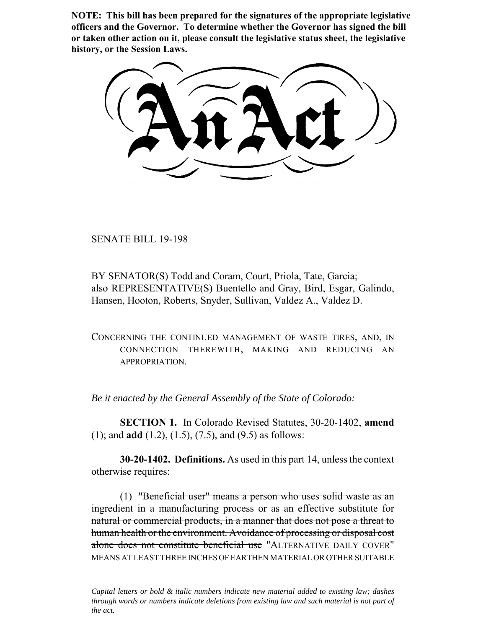**NOTE: This bill has been prepared for the signatures of the appropriate legislative officers and the Governor. To determine whether the Governor has signed the bill or taken other action on it, please consult the legislative status sheet, the legislative history, or the Session Laws.**

SENATE BILL 19-198

BY SENATOR(S) Todd and Coram, Court, Priola, Tate, Garcia; also REPRESENTATIVE(S) Buentello and Gray, Bird, Esgar, Galindo, Hansen, Hooton, Roberts, Snyder, Sullivan, Valdez A., Valdez D.

CONCERNING THE CONTINUED MANAGEMENT OF WASTE TIRES, AND, IN CONNECTION THEREWITH, MAKING AND REDUCING AN APPROPRIATION.

*Be it enacted by the General Assembly of the State of Colorado:*

**SECTION 1.** In Colorado Revised Statutes, 30-20-1402, **amend** (1); and **add** (1.2), (1.5), (7.5), and (9.5) as follows:

**30-20-1402. Definitions.** As used in this part 14, unless the context otherwise requires:

(1) "Beneficial user" means a person who uses solid waste as an ingredient in a manufacturing process or as an effective substitute for natural or commercial products, in a manner that does not pose a threat to human health or the environment. Avoidance of processing or disposal cost alone does not constitute beneficial use "ALTERNATIVE DAILY COVER" MEANS AT LEAST THREE INCHES OF EARTHEN MATERIAL OR OTHER SUITABLE

*Capital letters or bold & italic numbers indicate new material added to existing law; dashes through words or numbers indicate deletions from existing law and such material is not part of the act.*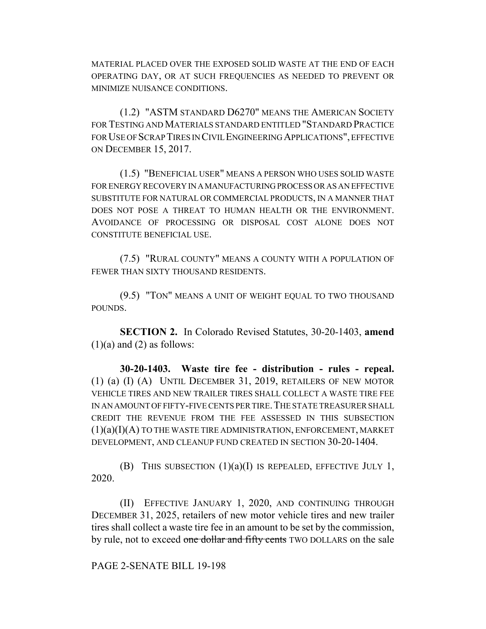MATERIAL PLACED OVER THE EXPOSED SOLID WASTE AT THE END OF EACH OPERATING DAY, OR AT SUCH FREQUENCIES AS NEEDED TO PREVENT OR MINIMIZE NUISANCE CONDITIONS.

(1.2) "ASTM STANDARD D6270" MEANS THE AMERICAN SOCIETY FOR TESTING AND MATERIALS STANDARD ENTITLED "STANDARD PRACTICE FOR USE OF SCRAP TIRES IN CIVIL ENGINEERING APPLICATIONS", EFFECTIVE ON DECEMBER 15, 2017.

(1.5) "BENEFICIAL USER" MEANS A PERSON WHO USES SOLID WASTE FOR ENERGY RECOVERY IN A MANUFACTURING PROCESS OR AS AN EFFECTIVE SUBSTITUTE FOR NATURAL OR COMMERCIAL PRODUCTS, IN A MANNER THAT DOES NOT POSE A THREAT TO HUMAN HEALTH OR THE ENVIRONMENT. AVOIDANCE OF PROCESSING OR DISPOSAL COST ALONE DOES NOT CONSTITUTE BENEFICIAL USE.

(7.5) "RURAL COUNTY" MEANS A COUNTY WITH A POPULATION OF FEWER THAN SIXTY THOUSAND RESIDENTS.

(9.5) "TON" MEANS A UNIT OF WEIGHT EQUAL TO TWO THOUSAND POUNDS.

**SECTION 2.** In Colorado Revised Statutes, 30-20-1403, **amend**  $(1)(a)$  and  $(2)$  as follows:

**30-20-1403. Waste tire fee - distribution - rules - repeal.** (1) (a) (I) (A) UNTIL DECEMBER 31, 2019, RETAILERS OF NEW MOTOR VEHICLE TIRES AND NEW TRAILER TIRES SHALL COLLECT A WASTE TIRE FEE IN AN AMOUNT OF FIFTY-FIVE CENTS PER TIRE.THE STATE TREASURER SHALL CREDIT THE REVENUE FROM THE FEE ASSESSED IN THIS SUBSECTION  $(1)(a)(I)(A)$  TO THE WASTE TIRE ADMINISTRATION, ENFORCEMENT, MARKET DEVELOPMENT, AND CLEANUP FUND CREATED IN SECTION 30-20-1404.

(B) THIS SUBSECTION  $(1)(a)(I)$  IS REPEALED, EFFECTIVE JULY 1, 2020.

(II) EFFECTIVE JANUARY 1, 2020, AND CONTINUING THROUGH DECEMBER 31, 2025, retailers of new motor vehicle tires and new trailer tires shall collect a waste tire fee in an amount to be set by the commission, by rule, not to exceed one dollar and fifty cents TWO DOLLARS on the sale

PAGE 2-SENATE BILL 19-198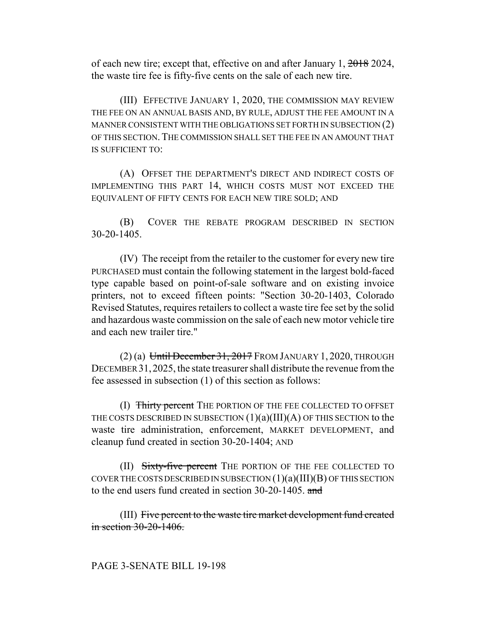of each new tire; except that, effective on and after January 1, 2018 2024, the waste tire fee is fifty-five cents on the sale of each new tire.

(III) EFFECTIVE JANUARY 1, 2020, THE COMMISSION MAY REVIEW THE FEE ON AN ANNUAL BASIS AND, BY RULE, ADJUST THE FEE AMOUNT IN A MANNER CONSISTENT WITH THE OBLIGATIONS SET FORTH IN SUBSECTION (2) OF THIS SECTION. THE COMMISSION SHALL SET THE FEE IN AN AMOUNT THAT IS SUFFICIENT TO:

(A) OFFSET THE DEPARTMENT'S DIRECT AND INDIRECT COSTS OF IMPLEMENTING THIS PART 14, WHICH COSTS MUST NOT EXCEED THE EQUIVALENT OF FIFTY CENTS FOR EACH NEW TIRE SOLD; AND

(B) COVER THE REBATE PROGRAM DESCRIBED IN SECTION 30-20-1405.

(IV) The receipt from the retailer to the customer for every new tire PURCHASED must contain the following statement in the largest bold-faced type capable based on point-of-sale software and on existing invoice printers, not to exceed fifteen points: "Section 30-20-1403, Colorado Revised Statutes, requires retailers to collect a waste tire fee set by the solid and hazardous waste commission on the sale of each new motor vehicle tire and each new trailer tire."

 $(2)$  (a) Until December 31, 2017 FROM JANUARY 1, 2020, THROUGH DECEMBER 31,2025, the state treasurer shall distribute the revenue from the fee assessed in subsection (1) of this section as follows:

(I) Thirty percent THE PORTION OF THE FEE COLLECTED TO OFFSET THE COSTS DESCRIBED IN SUBSECTION  $(1)(a)(III)(A)$  OF THIS SECTION to the waste tire administration, enforcement, MARKET DEVELOPMENT, and cleanup fund created in section 30-20-1404; AND

(II) Sixty-five percent THE PORTION OF THE FEE COLLECTED TO COVER THE COSTS DESCRIBED IN SUBSECTION  $(1)(a)(III)(B)$  OF THIS SECTION to the end users fund created in section 30-20-1405. and

(III) Five percent to the waste tire market development fund created in section 30-20-1406.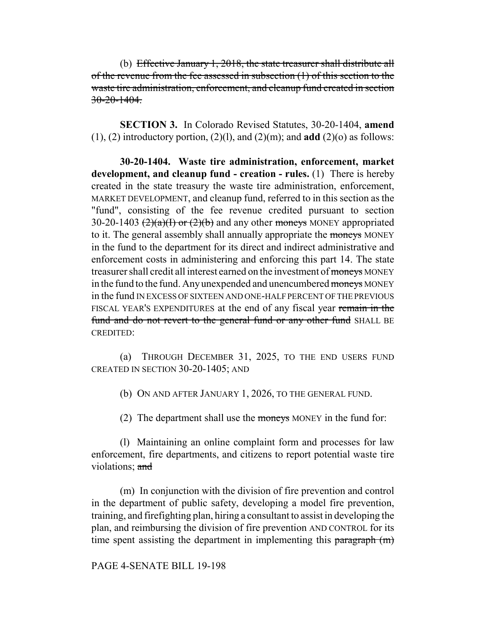(b) Effective January 1, 2018, the state treasurer shall distribute all of the revenue from the fee assessed in subsection (1) of this section to the waste tire administration, enforcement, and cleanup fund created in section  $30-20-1404$ .

**SECTION 3.** In Colorado Revised Statutes, 30-20-1404, **amend** (1), (2) introductory portion, (2)(1), and (2)(m); and **add** (2)(o) as follows:

**30-20-1404. Waste tire administration, enforcement, market development, and cleanup fund - creation - rules.** (1) There is hereby created in the state treasury the waste tire administration, enforcement, MARKET DEVELOPMENT, and cleanup fund, referred to in this section as the "fund", consisting of the fee revenue credited pursuant to section 30-20-1403  $(2)(a)(1)$  or  $(2)(b)$  and any other moneys MONEY appropriated to it. The general assembly shall annually appropriate the moneys MONEY in the fund to the department for its direct and indirect administrative and enforcement costs in administering and enforcing this part 14. The state treasurer shall credit all interest earned on the investment of moneys MONEY in the fund to the fund. Any unexpended and unencumbered moneys MONEY in the fund IN EXCESS OF SIXTEEN AND ONE-HALF PERCENT OF THE PREVIOUS FISCAL YEAR'S EXPENDITURES at the end of any fiscal year remain in the fund and do not revert to the general fund or any other fund SHALL BE CREDITED:

(a) THROUGH DECEMBER 31, 2025, TO THE END USERS FUND CREATED IN SECTION 30-20-1405; AND

(b) ON AND AFTER JANUARY 1, 2026, TO THE GENERAL FUND.

(2) The department shall use the moneys MONEY in the fund for:

(l) Maintaining an online complaint form and processes for law enforcement, fire departments, and citizens to report potential waste tire violations; and

(m) In conjunction with the division of fire prevention and control in the department of public safety, developing a model fire prevention, training, and firefighting plan, hiring a consultant to assist in developing the plan, and reimbursing the division of fire prevention AND CONTROL for its time spent assisting the department in implementing this paragraph (m)

## PAGE 4-SENATE BILL 19-198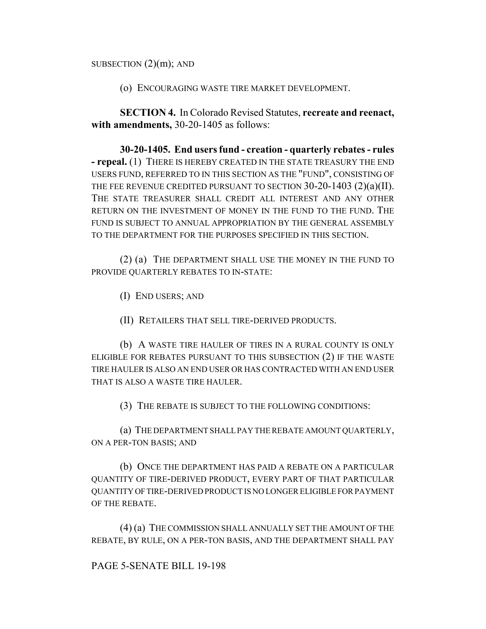SUBSECTION  $(2)(m)$ ; AND

(o) ENCOURAGING WASTE TIRE MARKET DEVELOPMENT.

**SECTION 4.** In Colorado Revised Statutes, **recreate and reenact, with amendments,** 30-20-1405 as follows:

**30-20-1405. End users fund - creation - quarterly rebates - rules - repeal.** (1) THERE IS HEREBY CREATED IN THE STATE TREASURY THE END USERS FUND, REFERRED TO IN THIS SECTION AS THE "FUND", CONSISTING OF THE FEE REVENUE CREDITED PURSUANT TO SECTION 30-20-1403 (2)(a)(II). THE STATE TREASURER SHALL CREDIT ALL INTEREST AND ANY OTHER RETURN ON THE INVESTMENT OF MONEY IN THE FUND TO THE FUND. THE FUND IS SUBJECT TO ANNUAL APPROPRIATION BY THE GENERAL ASSEMBLY TO THE DEPARTMENT FOR THE PURPOSES SPECIFIED IN THIS SECTION.

(2) (a) THE DEPARTMENT SHALL USE THE MONEY IN THE FUND TO PROVIDE QUARTERLY REBATES TO IN-STATE:

(I) END USERS; AND

(II) RETAILERS THAT SELL TIRE-DERIVED PRODUCTS.

(b) A WASTE TIRE HAULER OF TIRES IN A RURAL COUNTY IS ONLY ELIGIBLE FOR REBATES PURSUANT TO THIS SUBSECTION (2) IF THE WASTE TIRE HAULER IS ALSO AN END USER OR HAS CONTRACTED WITH AN END USER THAT IS ALSO A WASTE TIRE HAULER.

(3) THE REBATE IS SUBJECT TO THE FOLLOWING CONDITIONS:

(a) THE DEPARTMENT SHALL PAY THE REBATE AMOUNT QUARTERLY, ON A PER-TON BASIS; AND

(b) ONCE THE DEPARTMENT HAS PAID A REBATE ON A PARTICULAR QUANTITY OF TIRE-DERIVED PRODUCT, EVERY PART OF THAT PARTICULAR QUANTITY OF TIRE-DERIVED PRODUCT IS NO LONGER ELIGIBLE FOR PAYMENT OF THE REBATE.

(4) (a) THE COMMISSION SHALL ANNUALLY SET THE AMOUNT OF THE REBATE, BY RULE, ON A PER-TON BASIS, AND THE DEPARTMENT SHALL PAY

## PAGE 5-SENATE BILL 19-198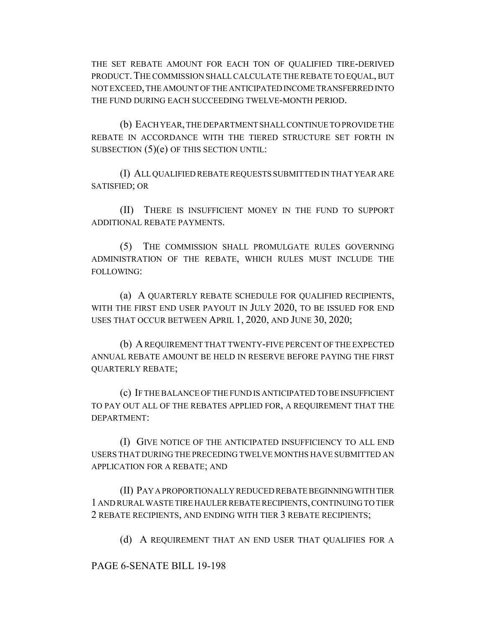THE SET REBATE AMOUNT FOR EACH TON OF QUALIFIED TIRE-DERIVED PRODUCT. THE COMMISSION SHALL CALCULATE THE REBATE TO EQUAL, BUT NOT EXCEED, THE AMOUNT OF THE ANTICIPATED INCOME TRANSFERRED INTO THE FUND DURING EACH SUCCEEDING TWELVE-MONTH PERIOD.

(b) EACH YEAR, THE DEPARTMENT SHALL CONTINUE TO PROVIDE THE REBATE IN ACCORDANCE WITH THE TIERED STRUCTURE SET FORTH IN SUBSECTION (5)(e) OF THIS SECTION UNTIL:

(I) ALL QUALIFIED REBATE REQUESTS SUBMITTED IN THAT YEAR ARE SATISFIED; OR

(II) THERE IS INSUFFICIENT MONEY IN THE FUND TO SUPPORT ADDITIONAL REBATE PAYMENTS.

(5) THE COMMISSION SHALL PROMULGATE RULES GOVERNING ADMINISTRATION OF THE REBATE, WHICH RULES MUST INCLUDE THE FOLLOWING:

(a) A QUARTERLY REBATE SCHEDULE FOR QUALIFIED RECIPIENTS, WITH THE FIRST END USER PAYOUT IN JULY 2020, TO BE ISSUED FOR END USES THAT OCCUR BETWEEN APRIL 1, 2020, AND JUNE 30, 2020;

(b) A REQUIREMENT THAT TWENTY-FIVE PERCENT OF THE EXPECTED ANNUAL REBATE AMOUNT BE HELD IN RESERVE BEFORE PAYING THE FIRST QUARTERLY REBATE;

(c) IF THE BALANCE OF THE FUND IS ANTICIPATED TO BE INSUFFICIENT TO PAY OUT ALL OF THE REBATES APPLIED FOR, A REQUIREMENT THAT THE DEPARTMENT:

(I) GIVE NOTICE OF THE ANTICIPATED INSUFFICIENCY TO ALL END USERS THAT DURING THE PRECEDING TWELVE MONTHS HAVE SUBMITTED AN APPLICATION FOR A REBATE; AND

(II) PAY A PROPORTIONALLY REDUCED REBATE BEGINNING WITH TIER 1 AND RURAL WASTE TIRE HAULER REBATE RECIPIENTS, CONTINUING TO TIER 2 REBATE RECIPIENTS, AND ENDING WITH TIER 3 REBATE RECIPIENTS;

(d) A REQUIREMENT THAT AN END USER THAT QUALIFIES FOR A

PAGE 6-SENATE BILL 19-198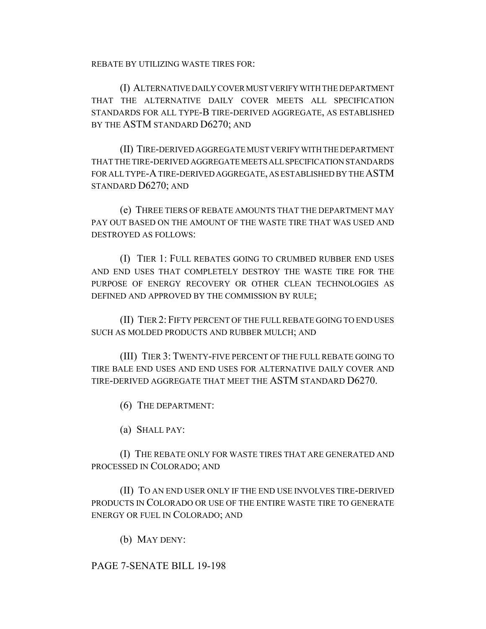REBATE BY UTILIZING WASTE TIRES FOR:

(I) ALTERNATIVE DAILY COVER MUST VERIFY WITH THE DEPARTMENT THAT THE ALTERNATIVE DAILY COVER MEETS ALL SPECIFICATION STANDARDS FOR ALL TYPE-B TIRE-DERIVED AGGREGATE, AS ESTABLISHED BY THE ASTM STANDARD D6270; AND

(II) TIRE-DERIVED AGGREGATE MUST VERIFY WITH THE DEPARTMENT THAT THE TIRE-DERIVED AGGREGATE MEETS ALL SPECIFICATION STANDARDS FOR ALL TYPE-A TIRE-DERIVED AGGREGATE, AS ESTABLISHED BY THE ASTM STANDARD D6270; AND

(e) THREE TIERS OF REBATE AMOUNTS THAT THE DEPARTMENT MAY PAY OUT BASED ON THE AMOUNT OF THE WASTE TIRE THAT WAS USED AND DESTROYED AS FOLLOWS:

(I) TIER 1: FULL REBATES GOING TO CRUMBED RUBBER END USES AND END USES THAT COMPLETELY DESTROY THE WASTE TIRE FOR THE PURPOSE OF ENERGY RECOVERY OR OTHER CLEAN TECHNOLOGIES AS DEFINED AND APPROVED BY THE COMMISSION BY RULE;

(II) TIER 2: FIFTY PERCENT OF THE FULL REBATE GOING TO END USES SUCH AS MOLDED PRODUCTS AND RUBBER MULCH; AND

(III) TIER 3: TWENTY-FIVE PERCENT OF THE FULL REBATE GOING TO TIRE BALE END USES AND END USES FOR ALTERNATIVE DAILY COVER AND TIRE-DERIVED AGGREGATE THAT MEET THE ASTM STANDARD D6270.

(6) THE DEPARTMENT:

(a) SHALL PAY:

(I) THE REBATE ONLY FOR WASTE TIRES THAT ARE GENERATED AND PROCESSED IN COLORADO; AND

(II) TO AN END USER ONLY IF THE END USE INVOLVES TIRE-DERIVED PRODUCTS IN COLORADO OR USE OF THE ENTIRE WASTE TIRE TO GENERATE ENERGY OR FUEL IN COLORADO; AND

(b) MAY DENY:

## PAGE 7-SENATE BILL 19-198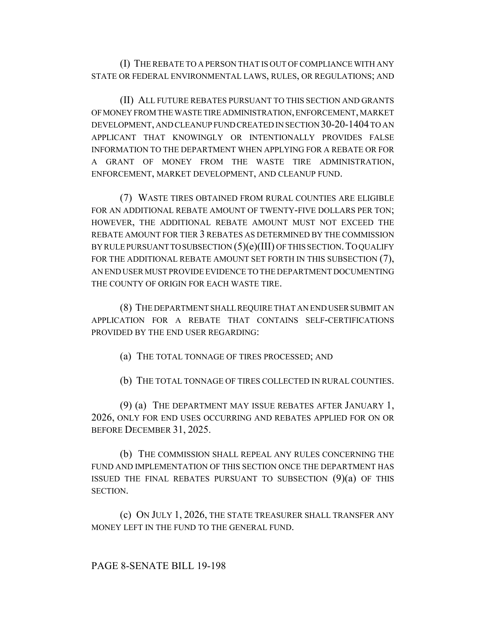(I) THE REBATE TO A PERSON THAT IS OUT OF COMPLIANCE WITH ANY STATE OR FEDERAL ENVIRONMENTAL LAWS, RULES, OR REGULATIONS; AND

(II) ALL FUTURE REBATES PURSUANT TO THIS SECTION AND GRANTS OF MONEY FROM THE WASTE TIRE ADMINISTRATION, ENFORCEMENT, MARKET DEVELOPMENT, AND CLEANUP FUND CREATED IN SECTION 30-20-1404 TO AN APPLICANT THAT KNOWINGLY OR INTENTIONALLY PROVIDES FALSE INFORMATION TO THE DEPARTMENT WHEN APPLYING FOR A REBATE OR FOR A GRANT OF MONEY FROM THE WASTE TIRE ADMINISTRATION, ENFORCEMENT, MARKET DEVELOPMENT, AND CLEANUP FUND.

(7) WASTE TIRES OBTAINED FROM RURAL COUNTIES ARE ELIGIBLE FOR AN ADDITIONAL REBATE AMOUNT OF TWENTY-FIVE DOLLARS PER TON; HOWEVER, THE ADDITIONAL REBATE AMOUNT MUST NOT EXCEED THE REBATE AMOUNT FOR TIER 3 REBATES AS DETERMINED BY THE COMMISSION BY RULE PURSUANT TO SUBSECTION (5)(e)(III) OF THIS SECTION.TO QUALIFY FOR THE ADDITIONAL REBATE AMOUNT SET FORTH IN THIS SUBSECTION (7), AN END USER MUST PROVIDE EVIDENCE TO THE DEPARTMENT DOCUMENTING THE COUNTY OF ORIGIN FOR EACH WASTE TIRE.

(8) THE DEPARTMENT SHALL REQUIRE THAT AN END USER SUBMIT AN APPLICATION FOR A REBATE THAT CONTAINS SELF-CERTIFICATIONS PROVIDED BY THE END USER REGARDING:

(a) THE TOTAL TONNAGE OF TIRES PROCESSED; AND

(b) THE TOTAL TONNAGE OF TIRES COLLECTED IN RURAL COUNTIES.

(9) (a) THE DEPARTMENT MAY ISSUE REBATES AFTER JANUARY 1, 2026, ONLY FOR END USES OCCURRING AND REBATES APPLIED FOR ON OR BEFORE DECEMBER 31, 2025.

(b) THE COMMISSION SHALL REPEAL ANY RULES CONCERNING THE FUND AND IMPLEMENTATION OF THIS SECTION ONCE THE DEPARTMENT HAS ISSUED THE FINAL REBATES PURSUANT TO SUBSECTION  $(9)(a)$  OF THIS SECTION.

(c) ON JULY 1, 2026, THE STATE TREASURER SHALL TRANSFER ANY MONEY LEFT IN THE FUND TO THE GENERAL FUND.

PAGE 8-SENATE BILL 19-198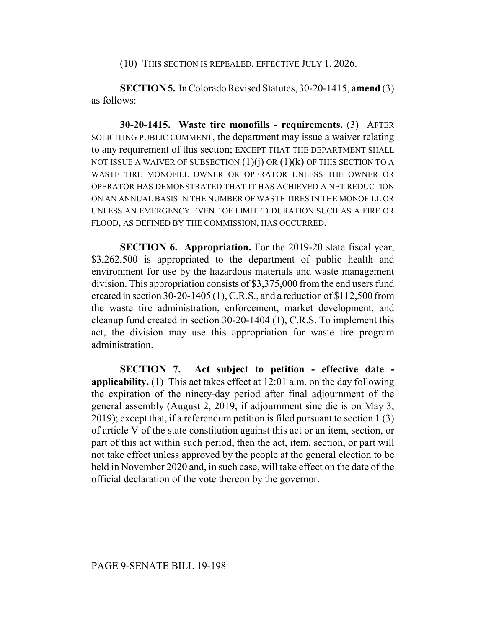(10) THIS SECTION IS REPEALED, EFFECTIVE JULY 1, 2026.

**SECTION 5.** In Colorado Revised Statutes, 30-20-1415, **amend** (3) as follows:

**30-20-1415. Waste tire monofills - requirements.** (3) AFTER SOLICITING PUBLIC COMMENT, the department may issue a waiver relating to any requirement of this section; EXCEPT THAT THE DEPARTMENT SHALL NOT ISSUE A WAIVER OF SUBSECTION  $(1)(i)$  OR  $(1)(k)$  OF THIS SECTION TO A WASTE TIRE MONOFILL OWNER OR OPERATOR UNLESS THE OWNER OR OPERATOR HAS DEMONSTRATED THAT IT HAS ACHIEVED A NET REDUCTION ON AN ANNUAL BASIS IN THE NUMBER OF WASTE TIRES IN THE MONOFILL OR UNLESS AN EMERGENCY EVENT OF LIMITED DURATION SUCH AS A FIRE OR FLOOD, AS DEFINED BY THE COMMISSION, HAS OCCURRED.

**SECTION 6. Appropriation.** For the 2019-20 state fiscal year, \$3,262,500 is appropriated to the department of public health and environment for use by the hazardous materials and waste management division. This appropriation consists of \$3,375,000 from the end users fund created in section 30-20-1405 (1), C.R.S., and a reduction of \$112,500 from the waste tire administration, enforcement, market development, and cleanup fund created in section 30-20-1404 (1), C.R.S. To implement this act, the division may use this appropriation for waste tire program administration.

**SECTION 7. Act subject to petition - effective date applicability.** (1) This act takes effect at 12:01 a.m. on the day following the expiration of the ninety-day period after final adjournment of the general assembly (August 2, 2019, if adjournment sine die is on May 3, 2019); except that, if a referendum petition is filed pursuant to section 1 (3) of article V of the state constitution against this act or an item, section, or part of this act within such period, then the act, item, section, or part will not take effect unless approved by the people at the general election to be held in November 2020 and, in such case, will take effect on the date of the official declaration of the vote thereon by the governor.